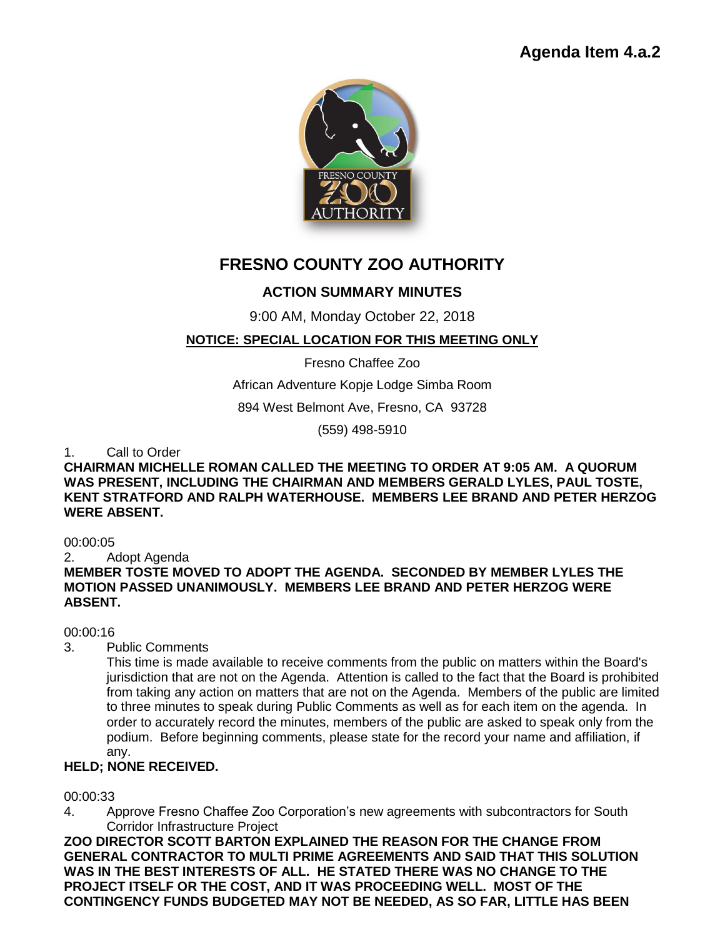## **Agenda Item 4.a.2**



# **FRESNO COUNTY ZOO AUTHORITY**

### **ACTION SUMMARY MINUTES**

9:00 AM, Monday October 22, 2018

#### **NOTICE: SPECIAL LOCATION FOR THIS MEETING ONLY**

Fresno Chaffee Zoo

African Adventure Kopje Lodge Simba Room

894 West Belmont Ave, Fresno, CA 93728

(559) 498-5910

1. Call to Order

**CHAIRMAN MICHELLE ROMAN CALLED THE MEETING TO ORDER AT 9:05 AM. A QUORUM WAS PRESENT, INCLUDING THE CHAIRMAN AND MEMBERS GERALD LYLES, PAUL TOSTE, KENT STRATFORD AND RALPH WATERHOUSE. MEMBERS LEE BRAND AND PETER HERZOG WERE ABSENT.** 

00:00:05

2. Adopt Agenda

**MEMBER TOSTE MOVED TO ADOPT THE AGENDA. SECONDED BY MEMBER LYLES THE MOTION PASSED UNANIMOUSLY. MEMBERS LEE BRAND AND PETER HERZOG WERE ABSENT.** 

00:00:16

3. Public Comments

This time is made available to receive comments from the public on matters within the Board's jurisdiction that are not on the Agenda. Attention is called to the fact that the Board is prohibited from taking any action on matters that are not on the Agenda. Members of the public are limited to three minutes to speak during Public Comments as well as for each item on the agenda. In order to accurately record the minutes, members of the public are asked to speak only from the podium. Before beginning comments, please state for the record your name and affiliation, if any.

#### **HELD; NONE RECEIVED.**

00:00:33

4. Approve Fresno Chaffee Zoo Corporation's new agreements with subcontractors for South Corridor Infrastructure Project

**ZOO DIRECTOR SCOTT BARTON EXPLAINED THE REASON FOR THE CHANGE FROM GENERAL CONTRACTOR TO MULTI PRIME AGREEMENTS AND SAID THAT THIS SOLUTION WAS IN THE BEST INTERESTS OF ALL. HE STATED THERE WAS NO CHANGE TO THE PROJECT ITSELF OR THE COST, AND IT WAS PROCEEDING WELL. MOST OF THE CONTINGENCY FUNDS BUDGETED MAY NOT BE NEEDED, AS SO FAR, LITTLE HAS BEEN**